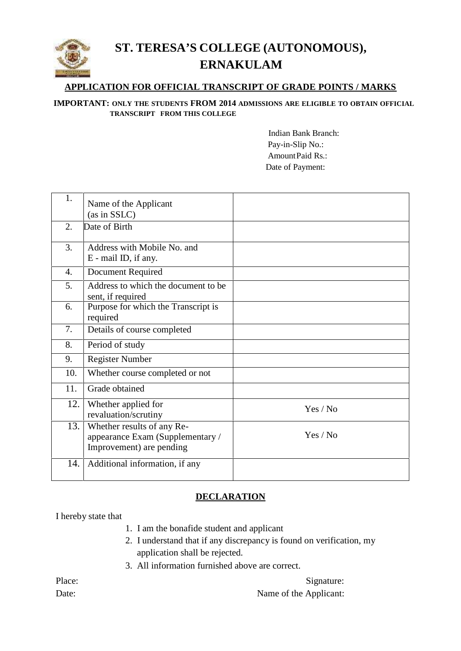

## **ST. TERESA'S COLLEGE (AUTONOMOUS), ERNAKULAM**

# **APPLICATION FOR OFFICIAL TRANSCRIPT OF GRADE POINTS / MARKS<br>
PORTANT: ONLY THE STUDENTS FROM 2014 ADMISSIONS ARE ELIGIBLE TO OBTAIN OFFICIAL<br>
TRANSCRIPT FROM THIS COLLEGE<br>
Indian Bank Branch:<br>
Pay-in-Slip No.: IMPORTANT: ONLY THE STUDENTS FROM 2014 ADMISSIONS ARE ELIGIBLE TO OBTAIN OFFICIAL TRANSCRIPT FROM THIS COLLEGE**

 Pay-in-Slip No.: Indian Bank Branch:<br>Pay-in-Slip No.:<br>AmountPaid Rs.: Date of Payment:

| 1.  | Name of the Applicant<br>(as in SSLC)                                                      |          |
|-----|--------------------------------------------------------------------------------------------|----------|
| 2.  | Date of Birth                                                                              |          |
| 3.  | Address with Mobile No. and<br>E - mail ID, if any.                                        |          |
| 4.  | <b>Document Required</b>                                                                   |          |
| 5.  | Address to which the document to be<br>sent, if required                                   |          |
| 6.  | Purpose for which the Transcript is<br>required                                            |          |
| 7.  | Details of course completed                                                                |          |
| 8.  | Period of study                                                                            |          |
| 9.  | <b>Register Number</b>                                                                     |          |
| 10. | Whether course completed or not                                                            |          |
| 11. | Grade obtained                                                                             |          |
| 12. | Whether applied for<br>revaluation/scrutiny                                                | Yes / No |
| 13. | Whether results of any Re-<br>appearance Exam (Supplementary /<br>Improvement) are pending | Yes / No |
| 14. | Additional information, if any                                                             |          |

### **DECLARATION**

I hereby state that

- 1. I am the bonafide student and applicant
- 2. I understand that if any discrepancy is found on verification, my application shall be rejected.
- 3. All information furnished above are correct.

Place: Signature: Signature: Date: Name of the Applicant: